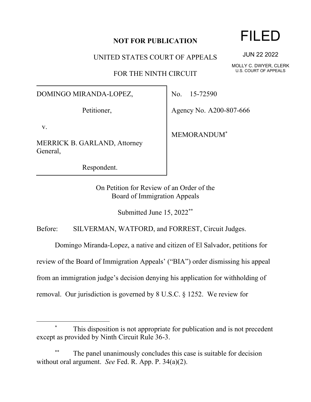## **NOT FOR PUBLICATION**

UNITED STATES COURT OF APPEALS

FOR THE NINTH CIRCUIT

## DOMINGO MIRANDA-LOPEZ,

Petitioner,

v.

MERRICK B. GARLAND, Attorney General,

Respondent.

No. 15-72590

Agency No. A200-807-666

MEMORANDUM\*

On Petition for Review of an Order of the Board of Immigration Appeals

Submitted June 15, 2022\*\*

Before: SILVERMAN, WATFORD, and FORREST, Circuit Judges.

Domingo Miranda-Lopez, a native and citizen of El Salvador, petitions for

review of the Board of Immigration Appeals' ("BIA") order dismissing his appeal

from an immigration judge's decision denying his application for withholding of

removal. Our jurisdiction is governed by 8 U.S.C. § 1252. We review for

This disposition is not appropriate for publication and is not precedent except as provided by Ninth Circuit Rule 36-3.

The panel unanimously concludes this case is suitable for decision without oral argument. *See* Fed. R. App. P. 34(a)(2).

FILED

JUN 22 2022

MOLLY C. DWYER, CLERK U.S. COURT OF APPEALS